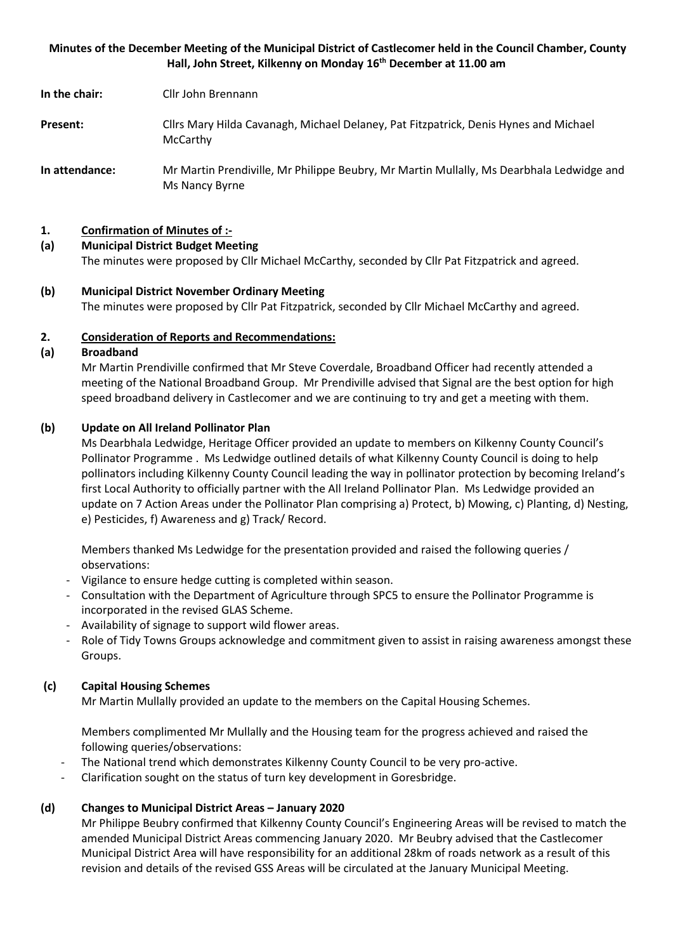## **Minutes of the December Meeting of the Municipal District of Castlecomer held in the Council Chamber, County Hall, John Street, Kilkenny on Monday 16th December at 11.00 am**

**In the chair:** Cllr John Brennann

- **Present:** Cllrs Mary Hilda Cavanagh, Michael Delaney, Pat Fitzpatrick, Denis Hynes and Michael **McCarthy**
- **In attendance:** Mr Martin Prendiville, Mr Philippe Beubry, Mr Martin Mullally, Ms Dearbhala Ledwidge and Ms Nancy Byrne

## **1. Confirmation of Minutes of :-**

#### **(a) Municipal District Budget Meeting**

The minutes were proposed by Cllr Michael McCarthy, seconded by Cllr Pat Fitzpatrick and agreed.

**(b) Municipal District November Ordinary Meeting** The minutes were proposed by Cllr Pat Fitzpatrick, seconded by Cllr Michael McCarthy and agreed.

## **2. Consideration of Reports and Recommendations:**

#### **(a) Broadband**

Mr Martin Prendiville confirmed that Mr Steve Coverdale, Broadband Officer had recently attended a meeting of the National Broadband Group. Mr Prendiville advised that Signal are the best option for high speed broadband delivery in Castlecomer and we are continuing to try and get a meeting with them.

## **(b) Update on All Ireland Pollinator Plan**

Ms Dearbhala Ledwidge, Heritage Officer provided an update to members on Kilkenny County Council's Pollinator Programme . Ms Ledwidge outlined details of what Kilkenny County Council is doing to help pollinators including Kilkenny County Council leading the way in pollinator protection by becoming Ireland's first Local Authority to officially partner with the All Ireland Pollinator Plan. Ms Ledwidge provided an update on 7 Action Areas under the Pollinator Plan comprising a) Protect, b) Mowing, c) Planting, d) Nesting, e) Pesticides, f) Awareness and g) Track/ Record.

Members thanked Ms Ledwidge for the presentation provided and raised the following queries / observations:

- Vigilance to ensure hedge cutting is completed within season.
- Consultation with the Department of Agriculture through SPC5 to ensure the Pollinator Programme is incorporated in the revised GLAS Scheme.
- Availability of signage to support wild flower areas.
- Role of Tidy Towns Groups acknowledge and commitment given to assist in raising awareness amongst these Groups.

## **(c) Capital Housing Schemes**

Mr Martin Mullally provided an update to the members on the Capital Housing Schemes.

Members complimented Mr Mullally and the Housing team for the progress achieved and raised the following queries/observations:

- The National trend which demonstrates Kilkenny County Council to be very pro-active.
- Clarification sought on the status of turn key development in Goresbridge.

## **(d) Changes to Municipal District Areas – January 2020**

Mr Philippe Beubry confirmed that Kilkenny County Council's Engineering Areas will be revised to match the amended Municipal District Areas commencing January 2020. Mr Beubry advised that the Castlecomer Municipal District Area will have responsibility for an additional 28km of roads network as a result of this revision and details of the revised GSS Areas will be circulated at the January Municipal Meeting.